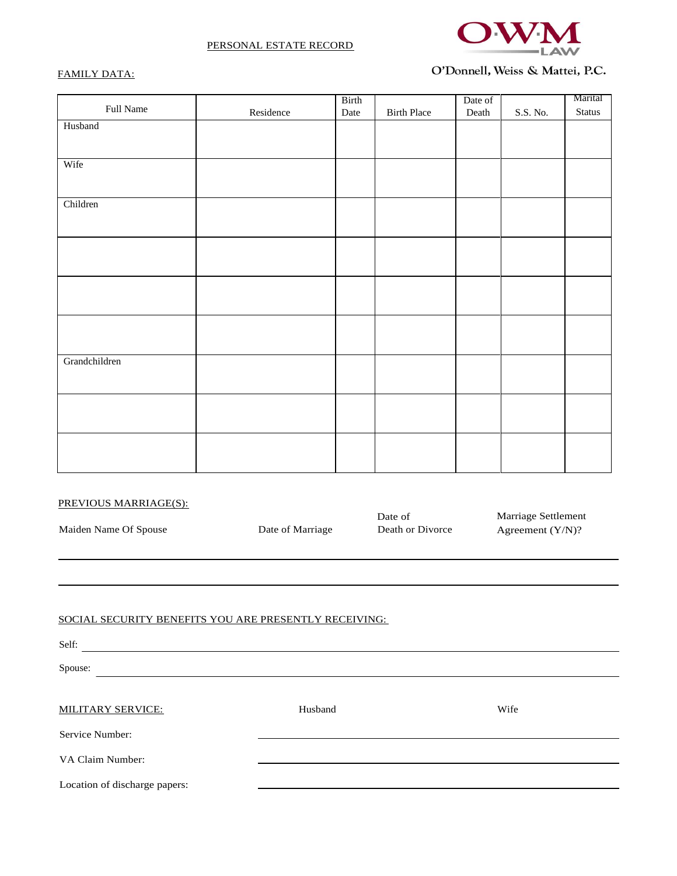



# FAMILY DATA:

# O'Donnell, Weiss & Mattei, P.C.

|               |                                         | Birth |                    | Date of |                 | Marital |
|---------------|-----------------------------------------|-------|--------------------|---------|-----------------|---------|
| Full Name     | $\label{eq:residue} \textbf{Residence}$ | Date  | <b>Birth Place</b> | Death   | $S.S.$ No. $\,$ | Status  |
| Husband       |                                         |       |                    |         |                 |         |
|               |                                         |       |                    |         |                 |         |
|               |                                         |       |                    |         |                 |         |
| Wife          |                                         |       |                    |         |                 |         |
|               |                                         |       |                    |         |                 |         |
|               |                                         |       |                    |         |                 |         |
| Children      |                                         |       |                    |         |                 |         |
|               |                                         |       |                    |         |                 |         |
|               |                                         |       |                    |         |                 |         |
|               |                                         |       |                    |         |                 |         |
|               |                                         |       |                    |         |                 |         |
|               |                                         |       |                    |         |                 |         |
|               |                                         |       |                    |         |                 |         |
|               |                                         |       |                    |         |                 |         |
|               |                                         |       |                    |         |                 |         |
|               |                                         |       |                    |         |                 |         |
|               |                                         |       |                    |         |                 |         |
| Grandchildren |                                         |       |                    |         |                 |         |
|               |                                         |       |                    |         |                 |         |
|               |                                         |       |                    |         |                 |         |
|               |                                         |       |                    |         |                 |         |
|               |                                         |       |                    |         |                 |         |
|               |                                         |       |                    |         |                 |         |
|               |                                         |       |                    |         |                 |         |
|               |                                         |       |                    |         |                 |         |
|               |                                         |       |                    |         |                 |         |

| PREVIOUS MARRIAGE(S):                                          |                  |                             |                                         |  |
|----------------------------------------------------------------|------------------|-----------------------------|-----------------------------------------|--|
| Maiden Name Of Spouse                                          | Date of Marriage | Date of<br>Death or Divorce | Marriage Settlement<br>Agreement (Y/N)? |  |
|                                                                |                  |                             |                                         |  |
| SOCIAL SECURITY BENEFITS YOU ARE PRESENTLY RECEIVING:<br>Self: |                  |                             |                                         |  |
| Spouse:                                                        |                  |                             |                                         |  |
| <b>MILITARY SERVICE:</b>                                       | Husband          |                             | Wife                                    |  |
| Service Number:                                                |                  |                             |                                         |  |
| VA Claim Number:                                               |                  |                             |                                         |  |

Location of discharge papers: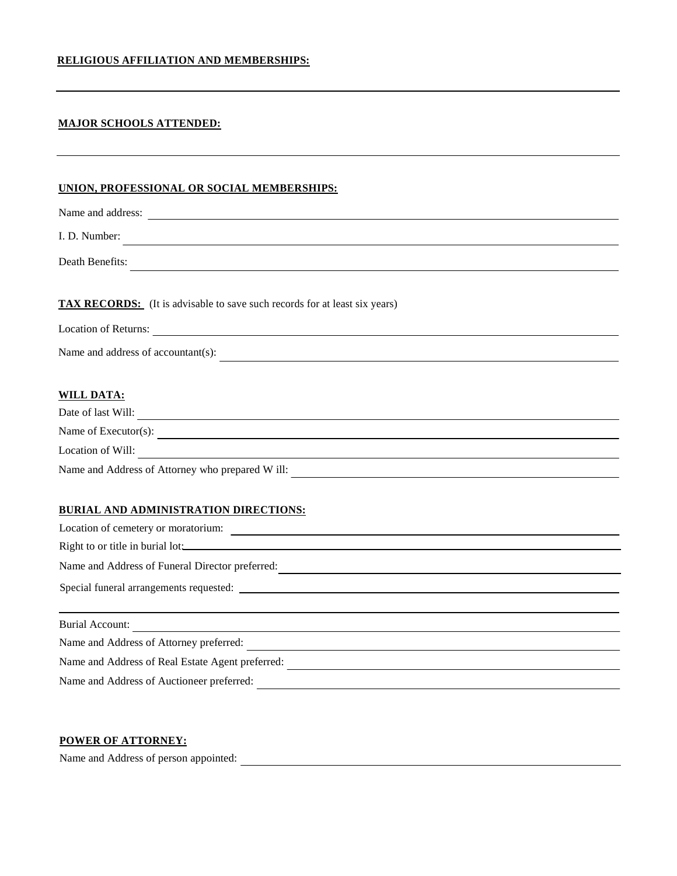## **RELIGIOUS AFFILIATION AND MEMBERSHIPS:**

#### **MAJOR SCHOOLS ATTENDED:**

#### **UNION, PROFESSIONAL OR SOCIAL MEMBERSHIPS:**

| Name and address:                                                                                                                                               |
|-----------------------------------------------------------------------------------------------------------------------------------------------------------------|
| I. D. Number:                                                                                                                                                   |
| Death Benefits:                                                                                                                                                 |
| <b>TAX RECORDS:</b> (It is advisable to save such records for at least six years)<br><b>Location of Returns:</b><br><u> 1989 - Jan Samuel Barbara, martin d</u> |
| Name and address of accountant(s):                                                                                                                              |
| <b>WILL DATA:</b><br>Date of last Will:<br><u> 1989 - Andrea Andrew Maria (h. 1989).</u>                                                                        |
| Name of Executor(s):                                                                                                                                            |
| Location of Will:                                                                                                                                               |

Name and Address of Attorney who prepared W ill:

# **BURIAL AND ADMINISTRATION DIRECTIONS:**

| Location of cemetery or moratorium:                        |  |
|------------------------------------------------------------|--|
| Right to or title in burial lot:                           |  |
| Name and Address of Funeral Director preferred:            |  |
|                                                            |  |
|                                                            |  |
|                                                            |  |
|                                                            |  |
| Burial Account:<br>Name and Address of Attorney preferred: |  |
| Name and Address of Real Estate Agent preferred:           |  |

# **POWER OF ATTORNEY:**

Name and Address of person appointed: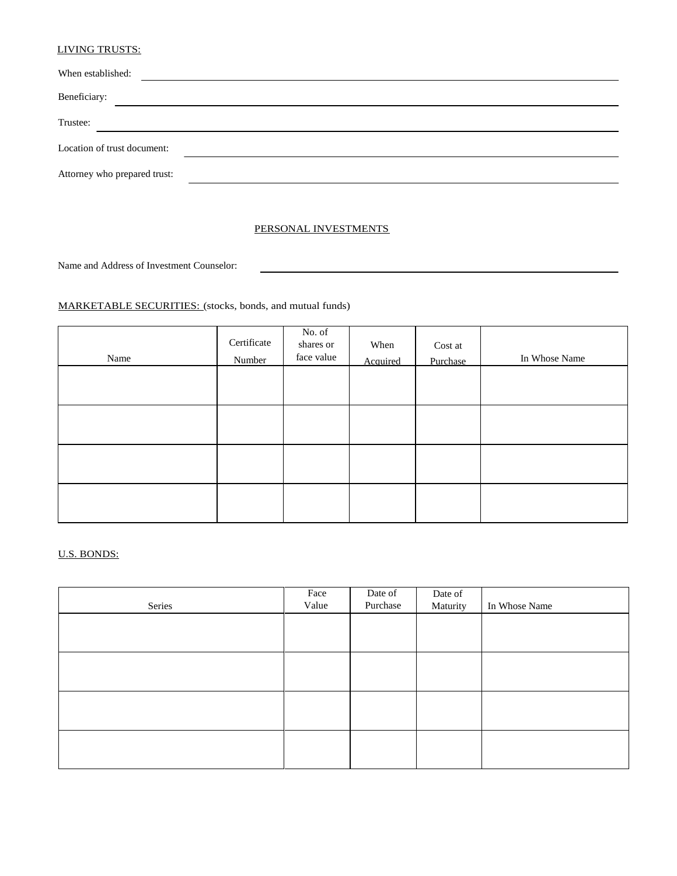#### LIVING TRUSTS:

| When established:            |  |
|------------------------------|--|
| Beneficiary:                 |  |
| Trustee:                     |  |
| Location of trust document:  |  |
| Attorney who prepared trust: |  |

#### PERSONAL INVESTMENTS

Name and Address of Investment Counselor:

## MARKETABLE SECURITIES: (stocks, bonds, and mutual funds)

| Name | Certificate<br>Number | No. of<br>shares or<br>face value | When<br>Acquired | Cost at<br>Purchase | In Whose Name |
|------|-----------------------|-----------------------------------|------------------|---------------------|---------------|
|      |                       |                                   |                  |                     |               |
|      |                       |                                   |                  |                     |               |
|      |                       |                                   |                  |                     |               |
|      |                       |                                   |                  |                     |               |

# U.S. BONDS:

|        | Face  | Date of  | Date of  |               |
|--------|-------|----------|----------|---------------|
| Series | Value | Purchase | Maturity | In Whose Name |
|        |       |          |          |               |
|        |       |          |          |               |
|        |       |          |          |               |
|        |       |          |          |               |
|        |       |          |          |               |
|        |       |          |          |               |
|        |       |          |          |               |
|        |       |          |          |               |
|        |       |          |          |               |
|        |       |          |          |               |
|        |       |          |          |               |
|        |       |          |          |               |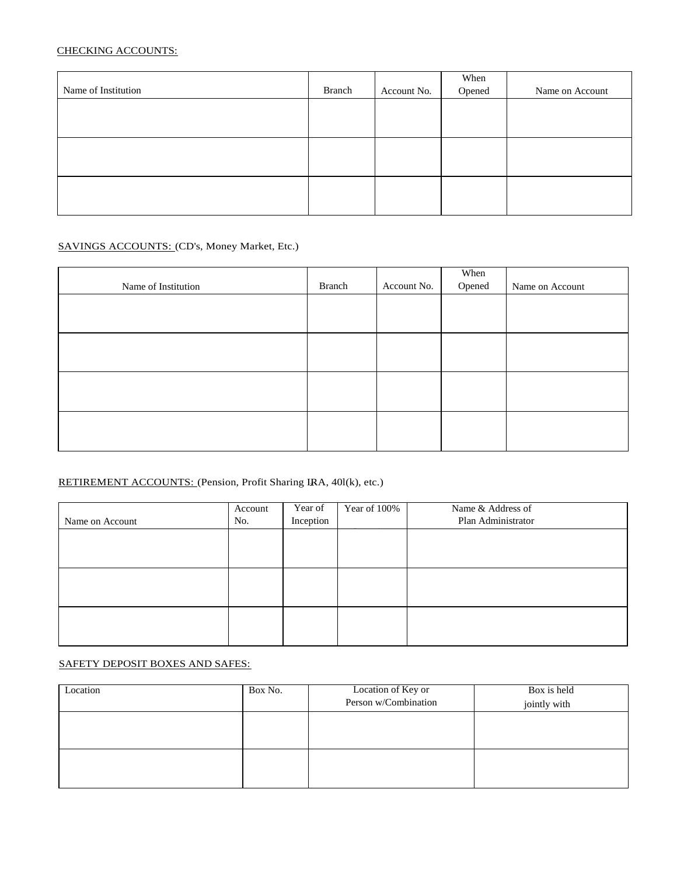# CHECKING ACCOUNTS:

|                     |        |             | When   |                 |
|---------------------|--------|-------------|--------|-----------------|
| Name of Institution | Branch | Account No. | Opened | Name on Account |
|                     |        |             |        |                 |
|                     |        |             |        |                 |
|                     |        |             |        |                 |
|                     |        |             |        |                 |
|                     |        |             |        |                 |
|                     |        |             |        |                 |
|                     |        |             |        |                 |
|                     |        |             |        |                 |
|                     |        |             |        |                 |

## SAVINGS ACCOUNTS: (CD's, Money Market, Etc.)

| Name of Institution | Branch | Account No. | When<br>Opened | Name on Account |
|---------------------|--------|-------------|----------------|-----------------|
|                     |        |             |                |                 |
|                     |        |             |                |                 |
|                     |        |             |                |                 |
|                     |        |             |                |                 |
|                     |        |             |                |                 |
|                     |        |             |                |                 |
|                     |        |             |                |                 |
|                     |        |             |                |                 |

# RETIREMENT ACCOUNTS: (Pension, Profit Sharing IRA, 40l(k), etc.)

|                 | Account | Year of   | Year of 100% | Name & Address of  |
|-----------------|---------|-----------|--------------|--------------------|
| Name on Account | No.     | Inception |              | Plan Administrator |
|                 |         |           |              |                    |
|                 |         |           |              |                    |
|                 |         |           |              |                    |
|                 |         |           |              |                    |
|                 |         |           |              |                    |
|                 |         |           |              |                    |
|                 |         |           |              |                    |
|                 |         |           |              |                    |
|                 |         |           |              |                    |

## SAFETY DEPOSIT BOXES AND SAFES:

| Location | Box No. | Location of Key or   | Box is held  |
|----------|---------|----------------------|--------------|
|          |         | Person w/Combination | jointly with |
|          |         |                      |              |
|          |         |                      |              |
|          |         |                      |              |
|          |         |                      |              |
|          |         |                      |              |
|          |         |                      |              |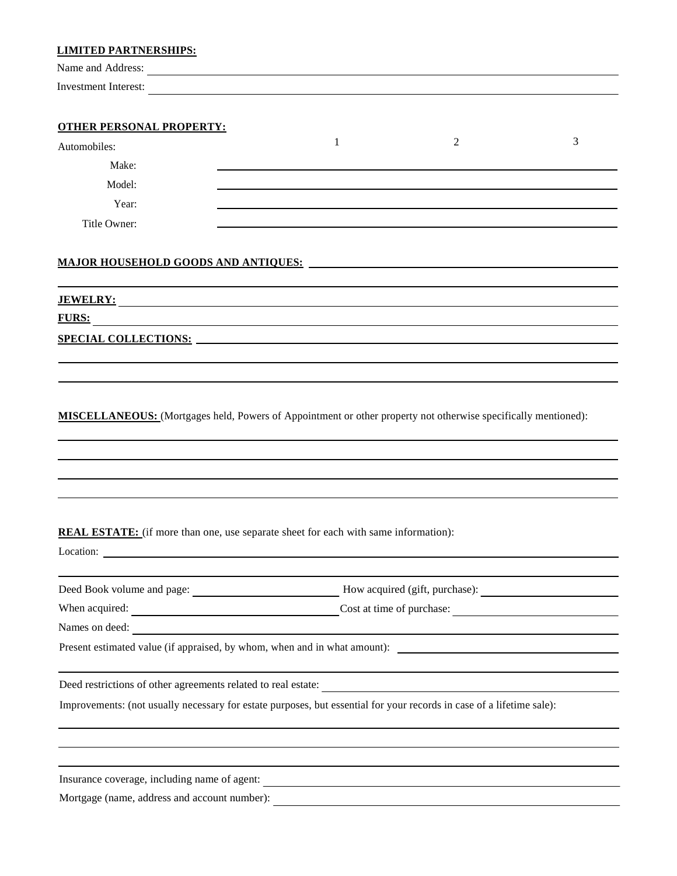| <b>LIMITED PARTNERSHIPS:</b>                                                                                          |   |   |   |
|-----------------------------------------------------------------------------------------------------------------------|---|---|---|
| Name and Address:                                                                                                     |   |   |   |
| <b>Investment Interest:</b>                                                                                           |   |   |   |
|                                                                                                                       |   |   |   |
| <b>OTHER PERSONAL PROPERTY:</b>                                                                                       |   |   |   |
| Automobiles:                                                                                                          | 1 | 2 | 3 |
| Make:                                                                                                                 |   |   |   |
| Model:                                                                                                                |   |   |   |
| Year:                                                                                                                 |   |   |   |
| Title Owner:                                                                                                          |   |   |   |
|                                                                                                                       |   |   |   |
|                                                                                                                       |   |   |   |
| <u>JEWELRY:</u>                                                                                                       |   |   |   |
| <b>FURS:</b><br><u> 1989 - Johann Harry Barn, mars and deutscher Schwarzer († 1989)</u>                               |   |   |   |
|                                                                                                                       |   |   |   |
|                                                                                                                       |   |   |   |
|                                                                                                                       |   |   |   |
|                                                                                                                       |   |   |   |
|                                                                                                                       |   |   |   |
| <b>REAL ESTATE:</b> (if more than one, use separate sheet for each with same information):                            |   |   |   |
|                                                                                                                       |   |   |   |
| Deed Book volume and page: Mow acquired (gift, purchase): Mow acquired (gift, purchase):                              |   |   |   |
| When acquired: Cost at time of purchase: Cost at time of purchase:                                                    |   |   |   |
| Names on deed:                                                                                                        |   |   |   |
|                                                                                                                       |   |   |   |
|                                                                                                                       |   |   |   |
|                                                                                                                       |   |   |   |
| Improvements: (not usually necessary for estate purposes, but essential for your records in case of a lifetime sale): |   |   |   |
|                                                                                                                       |   |   |   |
|                                                                                                                       |   |   |   |
| Mortgage (name, address and account number):                                                                          |   |   |   |
|                                                                                                                       |   |   |   |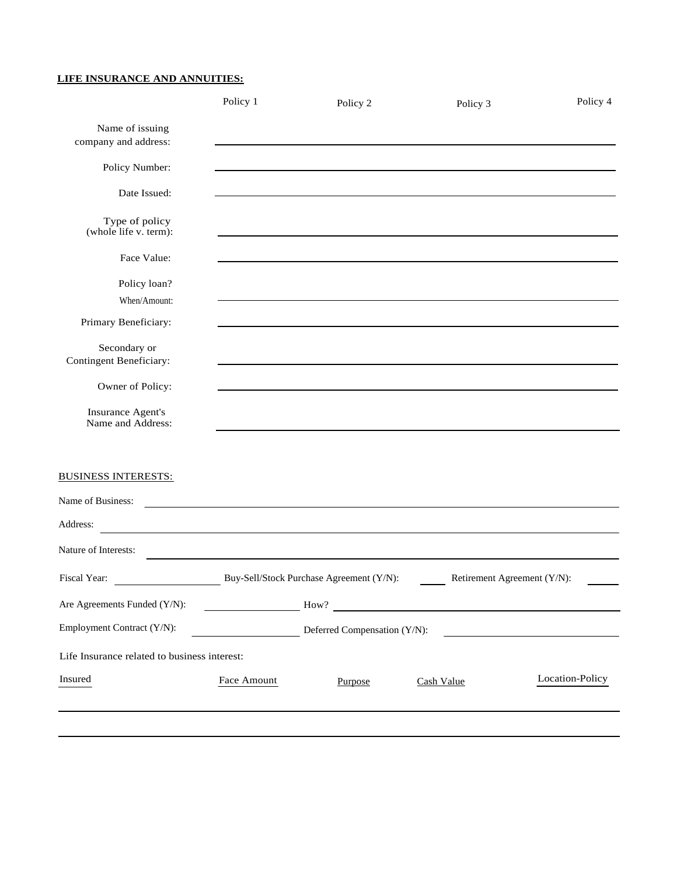# **LIFE INSURANCE AND ANNUITIES:**

|                                                | Policy 1                                                                                                              | Policy 2                                                                                                              | Policy 3 | Policy 4                                                    |
|------------------------------------------------|-----------------------------------------------------------------------------------------------------------------------|-----------------------------------------------------------------------------------------------------------------------|----------|-------------------------------------------------------------|
| Name of issuing<br>company and address:        |                                                                                                                       | <u> 1989 - Johann Stoff, deutscher Stoff, der Stoff, der Stoff, der Stoff, der Stoff, der Stoff, der Stoff, der S</u> |          |                                                             |
| Policy Number:                                 |                                                                                                                       | and the control of the control of the control of the control of the control of the control of the control of the      |          |                                                             |
| Date Issued:                                   |                                                                                                                       |                                                                                                                       |          |                                                             |
| Type of policy<br>(whole life v. term):        |                                                                                                                       |                                                                                                                       |          |                                                             |
| Face Value:                                    |                                                                                                                       |                                                                                                                       |          |                                                             |
| Policy loan?<br>When/Amount:                   |                                                                                                                       | ,我们也不会有什么。""我们的人,我们也不会有什么?""我们的人,我们也不会有什么?""我们的人,我们的人,我们也不会有什么?""我们的人,我们的人,我们的人,                                      |          |                                                             |
| Primary Beneficiary:                           |                                                                                                                       |                                                                                                                       |          |                                                             |
| Secondary or<br><b>Contingent Beneficiary:</b> |                                                                                                                       |                                                                                                                       |          |                                                             |
| Owner of Policy:                               |                                                                                                                       |                                                                                                                       |          |                                                             |
| <b>Insurance Agent's</b><br>Name and Address:  |                                                                                                                       |                                                                                                                       |          |                                                             |
| <b>BUSINESS INTERESTS:</b>                     |                                                                                                                       |                                                                                                                       |          |                                                             |
| Name of Business:                              | <u> 1989 - Johann Stoff, deutscher Stoff, der Stoff, der Stoff, der Stoff, der Stoff, der Stoff, der Stoff, der S</u> |                                                                                                                       |          |                                                             |
| Address:                                       |                                                                                                                       |                                                                                                                       |          | <u> 1989 - Johann Stoff, amerikansk politiker (d. 1989)</u> |
| Nature of Interests:                           |                                                                                                                       |                                                                                                                       |          | <u> 1989 - Johann Stoff, amerikansk politiker (d. 1989)</u> |
| Fiscal Year:                                   |                                                                                                                       | Buy-Sell/Stock Purchase Agreement (Y/N):                                                                              |          | Retirement Agreement (Y/N):                                 |
| Are Agreements Funded (Y/N):                   |                                                                                                                       | $\frac{1}{2}$ How?                                                                                                    |          |                                                             |
| Employment Contract (Y/N):                     |                                                                                                                       | Deferred Compensation (Y/N):                                                                                          |          | <u> 1989 - Andrea Andrew Maria (b. 1989)</u>                |
| Life Insurance related to business interest:   |                                                                                                                       |                                                                                                                       |          |                                                             |
|                                                |                                                                                                                       |                                                                                                                       |          | Location-Policy                                             |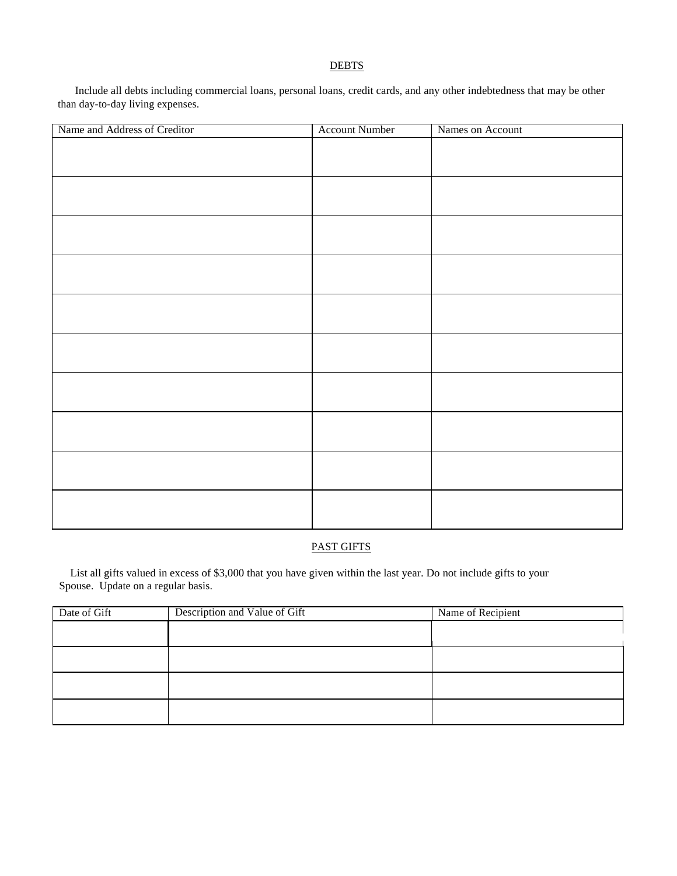#### **DEBTS**

Include all debts including commercial loans, personal loans, credit cards, and any other indebtedness that may be other than day-to-day living expenses.

| Name and Address of Creditor | <b>Account Number</b> | Names on Account |
|------------------------------|-----------------------|------------------|
|                              |                       |                  |
|                              |                       |                  |
|                              |                       |                  |
|                              |                       |                  |
|                              |                       |                  |
|                              |                       |                  |
|                              |                       |                  |
|                              |                       |                  |
|                              |                       |                  |
|                              |                       |                  |
|                              |                       |                  |
|                              |                       |                  |
|                              |                       |                  |
|                              |                       |                  |
|                              |                       |                  |
|                              |                       |                  |
|                              |                       |                  |
|                              |                       |                  |
|                              |                       |                  |
|                              |                       |                  |
|                              |                       |                  |
|                              |                       |                  |
|                              |                       |                  |

# PAST GIFTS

List all gifts valued in excess of \$3,000 that you have given within the last year. Do not include gifts to your Spouse. Update on a regular basis.

| Date of Gift | Description and Value of Gift | Name of Recipient |
|--------------|-------------------------------|-------------------|
|              |                               |                   |
|              |                               |                   |
|              |                               |                   |
|              |                               |                   |
|              |                               |                   |
|              |                               |                   |
|              |                               |                   |
|              |                               |                   |